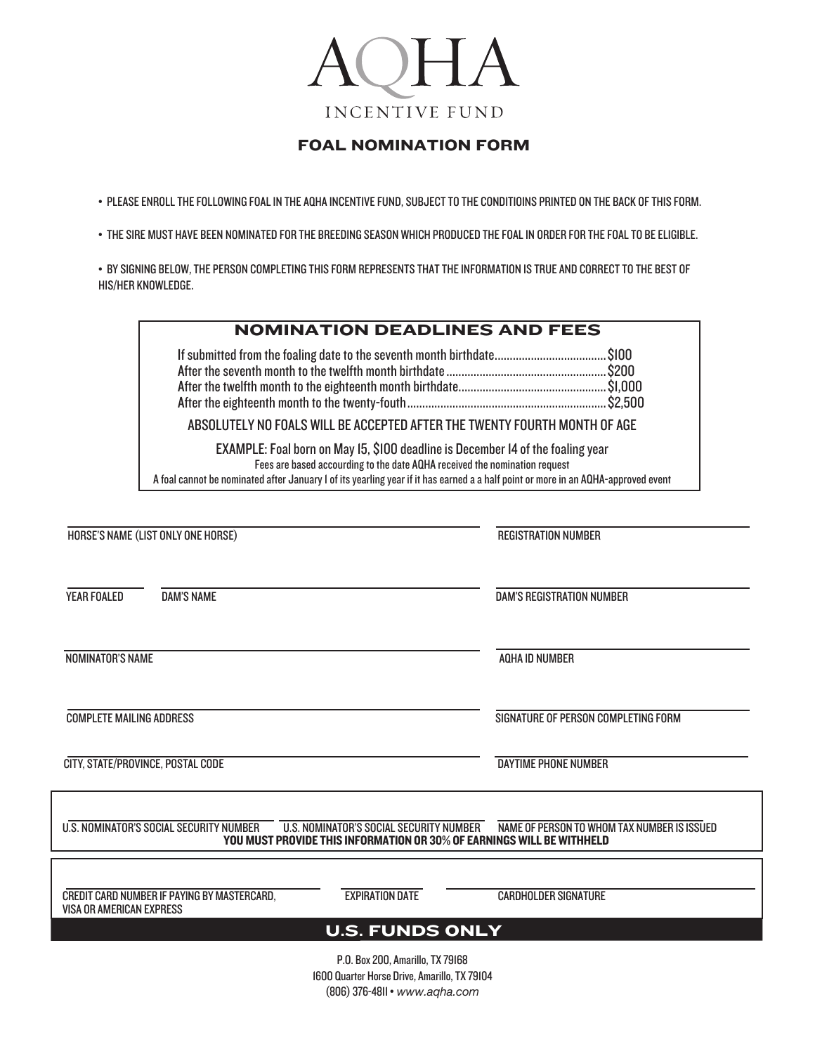# AQHA **INCENTIVE FUND**

## FOAL NOMINATION FORM

• PLEASE ENROLL THE FOLLOWING FOAL IN THE AQHA INCENTIVE FUND, SUBJECT TO THE CONDITIOINS PRINTED ON THE BACK OF THIS FORM.

• THE SIRE MUST HAVE BEEN NOMINATED FOR THE BREEDING SEASON WHICH PRODUCED THE FOAL IN ORDER FOR THE FOAL TO BE ELIGIBLE.

• BY SIGNING BELOW, THE PERSON COMPLETING THIS FORM REPRESENTS THAT THE INFORMATION IS TRUE AND CORRECT TO THE BEST OF HIS/HER KNOWLEDGE.

| <b>NOMINATION DEADLINES AND FEES</b>                                                                                                                                                                                                                                                               |  |  |  |
|----------------------------------------------------------------------------------------------------------------------------------------------------------------------------------------------------------------------------------------------------------------------------------------------------|--|--|--|
|                                                                                                                                                                                                                                                                                                    |  |  |  |
| ABSOLUTELY NO FOALS WILL BE ACCEPTED AFTER THE TWENTY FOURTH MONTH OF AGE                                                                                                                                                                                                                          |  |  |  |
| EXAMPLE: Foal born on May 15, \$100 deadline is December 14 of the foaling year<br>Fees are based accourding to the date AQHA received the nomination request<br>A foal cannot be nominated after January I of its yearling year if it has earned a a half point or more in an AQHA-approved event |  |  |  |

| HORSE'S NAME (LIST ONLY ONE HORSE) |                                             | <b>REGISTRATION NUMBER</b>                                                                                       |                                             |
|------------------------------------|---------------------------------------------|------------------------------------------------------------------------------------------------------------------|---------------------------------------------|
| <b>YEAR FOALED</b>                 | <b>DAM'S NAME</b>                           |                                                                                                                  | <b>DAM'S REGISTRATION NUMBER</b>            |
| <b>NOMINATOR'S NAME</b>            |                                             |                                                                                                                  | <b>AQHA ID NUMBER</b>                       |
| <b>COMPLETE MAILING ADDRESS</b>    |                                             |                                                                                                                  | SIGNATURE OF PERSON COMPLETING FORM         |
| CITY, STATE/PROVINCE, POSTAL CODE  |                                             |                                                                                                                  | <b>DAYTIME PHONE NUMBER</b>                 |
|                                    | U.S. NOMINATOR'S SOCIAL SECURITY NUMBER     | U.S. NOMINATOR'S SOCIAL SECURITY NUMBER<br>YOU MUST PROVIDE THIS INFORMATION OR 30% OF EARNINGS WILL BE WITHHELD | NAME OF PERSON TO WHOM TAX NUMBER IS ISSUED |
| <b>VISA OR AMERICAN EXPRESS</b>    | CREDIT CARD NUMBER IF PAYING BY MASTERCARD. | <b>EXPIRATION DATE</b>                                                                                           | <b>CARDHOLDER SIGNATURE</b>                 |
|                                    |                                             | <b>U.S. FUNDS ONLY</b>                                                                                           |                                             |
|                                    |                                             | P.O. Box 200, Amarillo, TX 79168<br>1600 Quarter Horse Drive, Amarillo, TX 79104                                 |                                             |

(806)376-4811• *www.aqha.com*